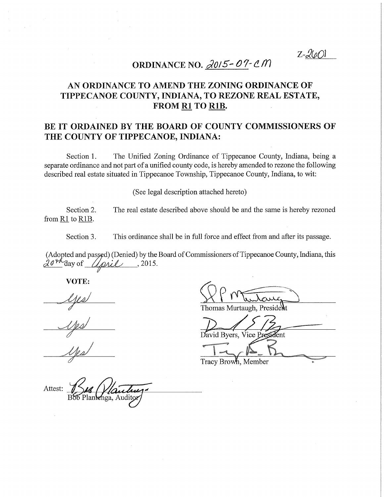$Z-\mathcal{A}\varphi O$ 

# ORDINANCE NO. 2015 - 07 - CM

# AN ORDINANCE TO AMEND THE ZONING ORDINANCE OF TIPPECANOE COUNTY, INDIANA, TO REZONE REAL ESTATE, FROM R1 TO R1B.

# BE IT ORDAINED BY THE BOARD OF COUNTY COMMISSIONERS OF THE COUNTY OF TIPPECANOE, INDIANA:

Section 1. The Unified Zoning Ordinance of Tippecanoe County, Indiana, being a separate ordinance and not part of a unified county code, is hereby amended to rezone the following described real estate situated in Tippecanoe Township, Tippecanoe County, Indiana, to wit:

(See legal description attached hereto)

Section 2. from Rl to RlB. The real estate described above should be and the same is hereby rezoned

Section 3. This ordinance shall be in full force and effect from and after its passage.

(Adopted and passed) (Denied) by the Board of Commissioners of Tippecanoe County, Indiana, this  $204\pi$  day of *Upril*, 2015.

VOTE:

Thomas Murtaugh, President

David Byers, Vice President

Tracy Brown, Member

Attest: Bes Vlauburg-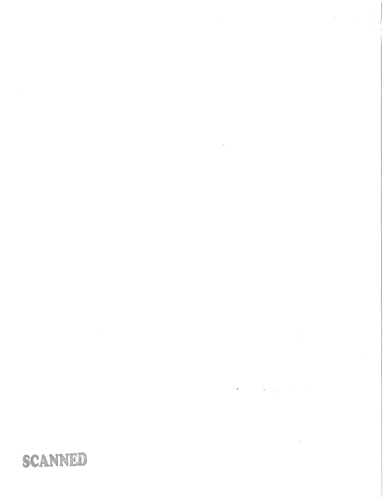# SCANNED

 $\beta$  (a)  $\hat{\mathbf{v}}$ 

 $\bar{\mathbf{v}}$ 

 $\hat{\mathcal{E}}$ 

 $\tilde{\boldsymbol{\beta}}$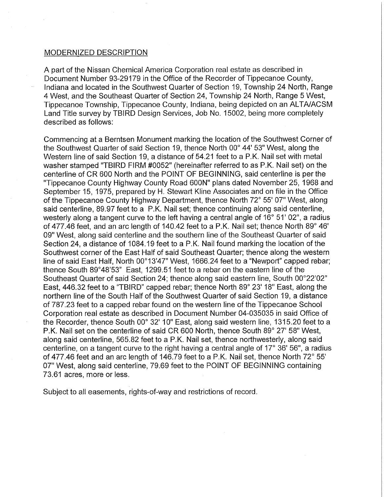#### MODERNIZED DESCRIPTION

A part of the Nissan Chemical America Corporation real estate as described in Document Number 93-29179 in the Office of the Recorder of Tippecanoe County, Indiana and located in the Southwest Quarter of Section 19, Township 24 North, Range 4 West, and the Southeast Quarter of Section 24, Township 24 North, Range 5 West, Tippecanoe Township, Tippecanoe County, Indiana, being depicted on an ALTA/ACSM Land Title survey by TBIRD Design Services, Job No. 15002, being more completely described as follows:

Commencing at a Berntsen Monument marking the location of the Southwest Corner of the Southwest Quarter of said Section 19, thence North 00° 44' 53" West, along the Western line of said Section 19, a distance of 54.21 feet to a P.K. Nail set with metal washer stamped "TBIRD FIRM #0052" (hereinafter referred to as P.K. Nail set) on the centerline of CR 600 North and the POINT OF BEGINNING, said centerline is per the "Tippecanoe County Highway County Road 600N" plans dated November 25, 1968 and September 15, 1975, prepared by H. Stewart Kline Associates and on file in the Office of the Tippecanoe County Highway Department, thence North 72° 55' 07'' West, along said centerline, 89.97 feet to a P.K. Nail set; thence continuing along said centerline, westerly along a tangent curve to the left having a central angle of 16° 51' 02", a radius of 477.46 feet, and an arc length of 140.42 feet to a P.K. Nail set; thence North 89° 46' 09" West, along said centerline and the southern line of the Southeast Quarter of said Section 24, a distance of 1084.19 feet to a P.K. Nail found marking the location of the Southwest corner of the East Half of said Southeast Quarter; thence along the western line of said East Half, North 00°13'47" West, 1666.24 feet to a "Newport" capped rebar; thence South 89°48'53" East, 1299.51 feet to a rebar on the eastern line of the Southeast Quarter of said Section 24; thence along said eastern line, South 00°22'02" East, 446.32 feet to a "TBIRD" capped rebar; thence North 89° 23' 18" East, along the northern line of the South Half of the Southwest Quarter of said Section 19, a distance of 787 .23 feet to a capped rebar found on the western line of the Tippecanoe School Corporation real estate as described in Document Number 04-035035 in said Office of the Recorder, thence South 00° 32' 10" East, along said western line, 1315.20 feet to a P.K. Nail set on the centerline of said CR 600 North, thence South 89° 27' 58" West, along said centerline, 565.82 feet to a P.K. Nail set, thence northwesterly, along said centerline, on a tangent curve to the right having a central angle of 17° 36' 56", a radius of 477.46 feet and an arc length of 146.79 feet to a P.K. Nail set, thence North 72° 55' 07'' West, along said centerline, 79.69 feet to the POINT OF BEGINNING containing 73.61 acres, more or less.

Subject to all easements, rights-of-way and restrictions of record.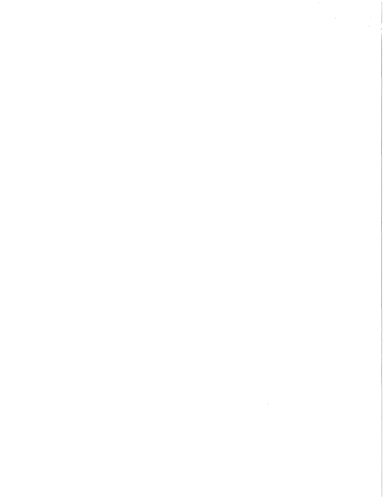$\sim 200$  $\label{eq:2.1} \begin{split} \mathcal{L}_{\text{max}}(\mathbf{z}) = \mathcal{L}_{\text{max}}(\mathbf{z}) \mathcal{L}_{\text{max}}(\mathbf{z}) \end{split}$ 

 $\mathcal{L}^{\text{max}}_{\text{max}}$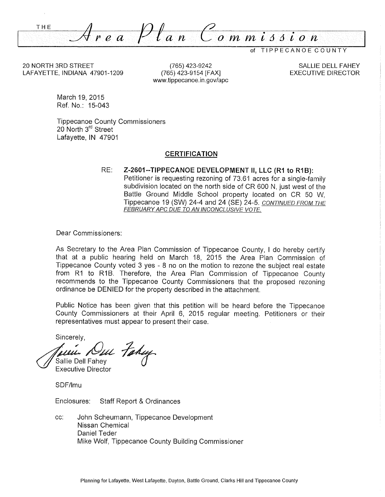THE *:.\_\_\_\_;{/: r e a* Pf *an Commi:J:Jion* 

of T I P P E C A N 0 E C 0 U N T Y

20 NORTH 3RD STREET LAFAYETTE, INDIANA 47901-1209

(765) 423-9242 (765) 423-9154 [FAX] www.tippecanoe.in.gov/apc

SALLIE DELL FAHEY EXECUTIVE DIRECTOR

March 19, 2015 Ref. No.: 15-043

Tippecanoe County Commissioners 20 North 3<sup>rd</sup> Street Lafayette, IN 47901

#### **CERTIFICATION**

RE: **Z-2601--TIPPECANOE DEVELOPMENT II, LLC (R1 to R1B):**  Petitioner is requesting rezoning of 73.61 acres for a single-family subdivision located on the north side of CR 600 N, just west of the Battle Ground Middle School property located on CR 50 W, Tippecanoe 19 (SW) 24-4 and 24 (SE) 24-5. CONTINUED FROM THE FEBRUARY APC DUE TO AN INCONCLUSIVE VOTE.

Dear Commissioners:

As Secretary to the Area Plan Commission of Tippecanoe County, I do hereby certify that at a public hearing held on March 18, 2015 the Area Plan Commission of Tippecanoe County voted 3 yes - 8 no on the motion to rezone the subject real estate from R1 to R1B. Therefore, the Area Plan Commission of Tippecanoe County recommends to the Tippecanoe County Commissioners that the proposed rezoning ordinance be DENIED for the property described in the attachment.

Public Notice has been given that this petition will be heard before the Tippecanoe County Commissioners at their April 6, 2015 regular meeting. Petitioners or their representatives must appear to present their case.

Sincerely,

Julie *Qui Tahy* 

SDF/lmu

Enclosures: Staff Report & Ordinances

cc: John Scheumann, Tippecanoe Development Nissan Chemical Daniel Teder Mike Wolf, Tippecanoe County Building Commissioner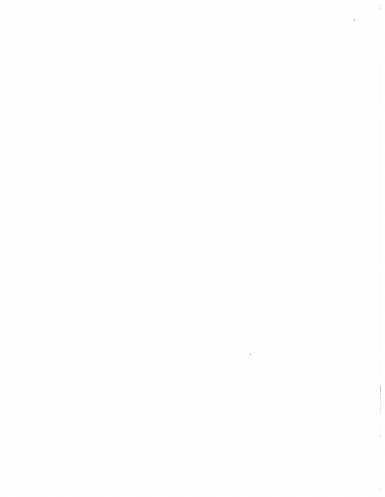$\hat{\mathcal{F}}$ 

 $\hat{\mathbf{y}}$ 

 $\mathcal{L}^{\text{max}}_{\text{max}}$  ,  $\mathcal{L}^{\text{max}}_{\text{max}}$ 

 $\label{eq:2.1} \begin{split} \mathcal{L}_{\text{max}}(\mathbf{r}) & = \frac{1}{2} \mathbf{E} \left[ \mathbf{r} \right] \mathbf{r} \left( \mathbf{r} \right) \\ & = \frac{1}{2} \mathbf{E} \left[ \mathbf{r} \right] \mathbf{r} \left( \mathbf{r} \right) \mathbf{r} \left( \mathbf{r} \right) \\ & = \frac{1}{2} \mathbf{E} \left[ \mathbf{r} \right] \mathbf{r} \left( \mathbf{r} \right) \mathbf{r} \left( \mathbf{r} \right) \mathbf{r} \left( \mathbf{r} \$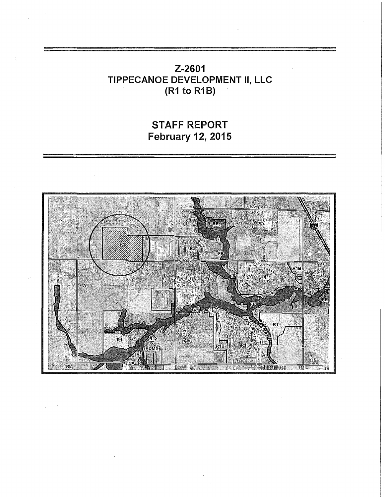# Z-2601 TIPPECANOE DEVELOPMENT II, LLC (R1 to R18)

# STAFF REPORT February 12, 2015

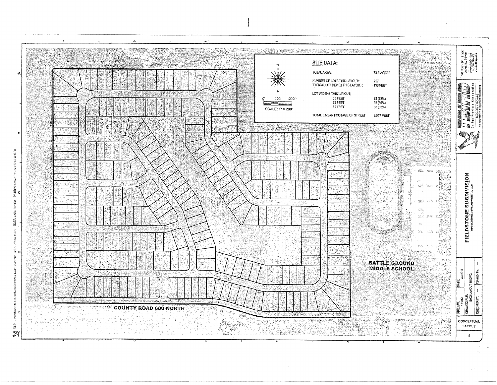

DATE:

U3ER:

**HAT HIME**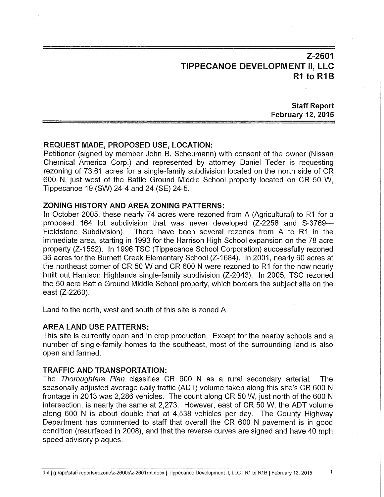# Z-2601 TIPPECANOE DEVELOPMENT II, LLC R1 to R18

Staff Report February 12, 2015

# REQUEST MADE, PROPOSED USE, LOCATION:

Petitioner (signed by member John 8. Scheumann) with consent of the owner (Nissan Chemical America Corp.) and represented by attorney Daniel Teder is requesting rezoning of 73.61 acres for a single-family subdivision located on the north side of CR 600 N, just west of the Battle Ground Middle School property located on CR 50 W, Tippecanoe 19 (SW) 24-4 and 24 (SE) 24-5.

# ZONING HISTORY AND AREA ZONING PATTERNS:

In October 2005, these nearly 74 acres were rezoned from A (Agricultural) to R1 for a proposed 164 lot subdivision that was never developed (Z-2258 and S-3769- Fieldstone Subdivision). There have been several rezones from A to R1 in the immediate area, starting in 1993 for the Harrison High School expansion on the 78 acre property (Z-1552). In 1996 TSC (Tippecanoe School Corporation) successfully rezoned 36 acres for the Burnett Creek Elementary School (Z-1684). In 2001, nearly 60 acres at the northeast corner of CR 50 W and CR 600 N were rezoned to R1 for the now nearly built out Harrison Highlands single-family subdivision (Z-2043). In 2005, TSC rezoned the 50 acre Battle Ground Middle School property, which borders the subject site on the east (Z-2260).

Land to the north, west and south of this site is zoned A.

## AREA LAND USE PATTERNS:

This site is currently open and in crop production. Except for the nearby schools and a number of single-family homes to the southeast, most of the surrounding land is also open and farmed.

# TRAFFIC AND TRANSPORTATION:

The Thoroughfare Plan classifies CR 600 N as a rural secondary arterial. The seasonally adjusted average daily traffic (ADT) volume taken along this site's CR 600 N frontage in 2013 was 2,286 vehicles. The count along CR 50 W, just north of the 600 N intersection, is nearly the same at 2,273. However, east of CR 50 W, the ADT volume along 600 N is about double that at 4,538 vehicles per day. The County Highway Department has commented to staff that overall the CR 600 N pavement is in good condition (resurfaced in 2008), and that the reverse curves are signed and have 40 mph speed advisory plaques.

 $\mathbf{1}$